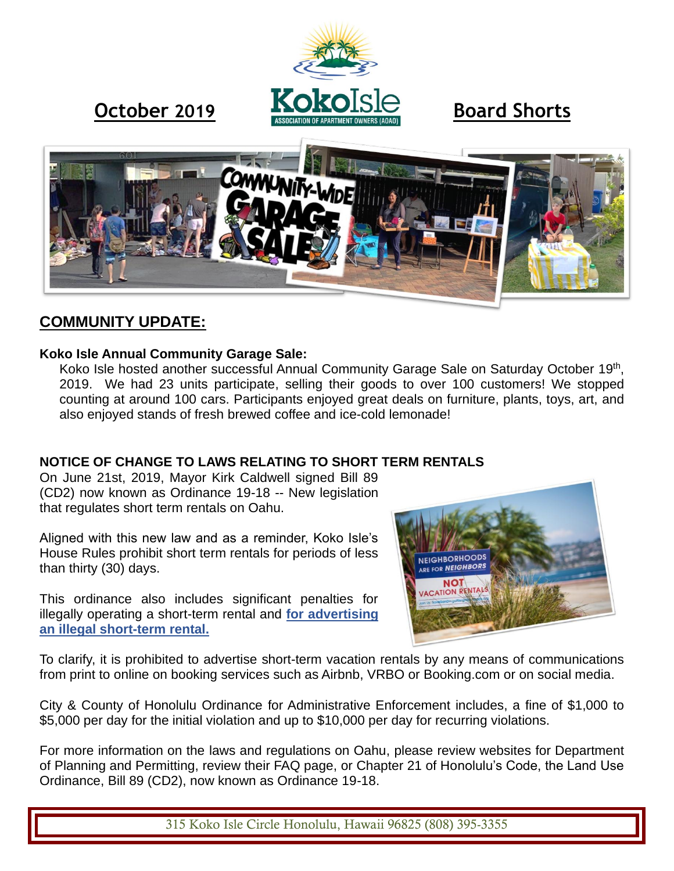



# **COMMUNITY UPDATE:**

#### **Koko Isle Annual Community Garage Sale:**

Koko Isle hosted another successful Annual Community Garage Sale on Saturday October 19<sup>th</sup>, 2019. We had 23 units participate, selling their goods to over 100 customers! We stopped counting at around 100 cars. Participants enjoyed great deals on furniture, plants, toys, art, and also enjoyed stands of fresh brewed coffee and ice-cold lemonade!

## **NOTICE OF CHANGE TO LAWS RELATING TO SHORT TERM RENTALS**

On June 21st, 2019, Mayor Kirk Caldwell signed Bill 89 (CD2) now known as Ordinance 19-18 -- New legislation that regulates short term rentals on Oahu.

Aligned with this new law and as a reminder, Koko Isle's House Rules prohibit short term rentals for periods of less than thirty (30) days.

This ordinance also includes significant penalties for illegally operating a short-term rental and **for advertising an illegal short-term rental.**



To clarify, it is prohibited to advertise short-term vacation rentals by any means of communications from print to online on booking services such as Airbnb, VRBO or Booking.com or on social media.

City & County of Honolulu Ordinance for Administrative Enforcement includes, a fine of \$1,000 to \$5,000 per day for the initial violation and up to \$10,000 per day for recurring violations.

For more information on the laws and regulations on Oahu, please review websites for Department of Planning and Permitting, review their FAQ page, or Chapter 21 of Honolulu's Code, the Land Use Ordinance, Bill 89 (CD2), now known as Ordinance 19-18.

315 Koko Isle Circle Honolulu, Hawaii 96825 (808) 395-3355